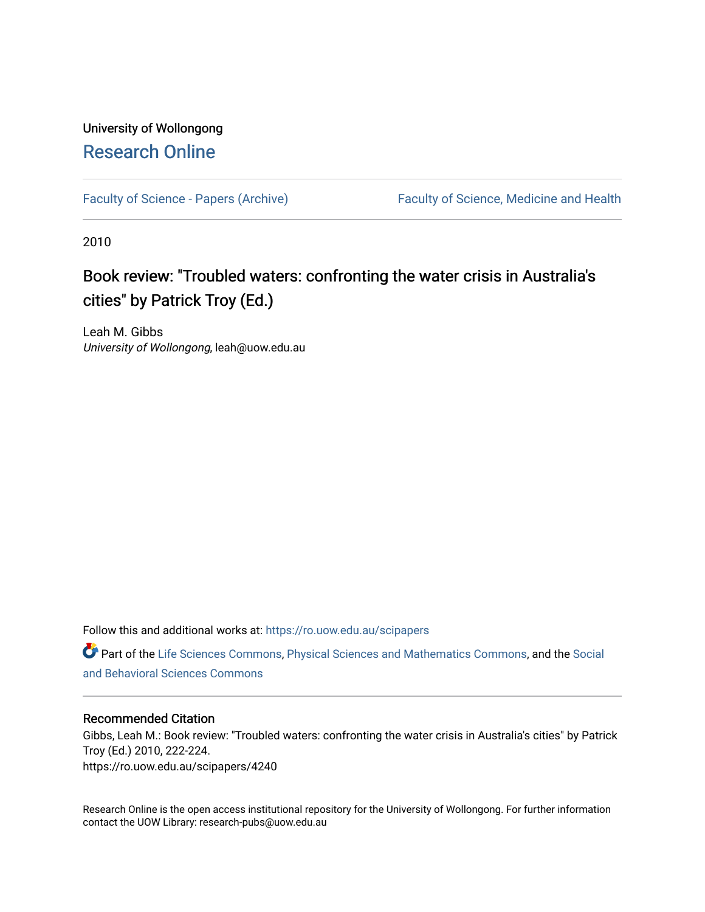# University of Wollongong [Research Online](https://ro.uow.edu.au/)

[Faculty of Science - Papers \(Archive\)](https://ro.uow.edu.au/scipapers) Faculty of Science, Medicine and Health

2010

# Book review: "Troubled waters: confronting the water crisis in Australia's cities" by Patrick Troy (Ed.)

Leah M. Gibbs University of Wollongong, leah@uow.edu.au

Follow this and additional works at: [https://ro.uow.edu.au/scipapers](https://ro.uow.edu.au/scipapers?utm_source=ro.uow.edu.au%2Fscipapers%2F4240&utm_medium=PDF&utm_campaign=PDFCoverPages)

Part of the [Life Sciences Commons,](http://network.bepress.com/hgg/discipline/1016?utm_source=ro.uow.edu.au%2Fscipapers%2F4240&utm_medium=PDF&utm_campaign=PDFCoverPages) [Physical Sciences and Mathematics Commons,](http://network.bepress.com/hgg/discipline/114?utm_source=ro.uow.edu.au%2Fscipapers%2F4240&utm_medium=PDF&utm_campaign=PDFCoverPages) and the Social [and Behavioral Sciences Commons](http://network.bepress.com/hgg/discipline/316?utm_source=ro.uow.edu.au%2Fscipapers%2F4240&utm_medium=PDF&utm_campaign=PDFCoverPages) 

#### Recommended Citation

Gibbs, Leah M.: Book review: "Troubled waters: confronting the water crisis in Australia's cities" by Patrick Troy (Ed.) 2010, 222-224. https://ro.uow.edu.au/scipapers/4240

Research Online is the open access institutional repository for the University of Wollongong. For further information contact the UOW Library: research-pubs@uow.edu.au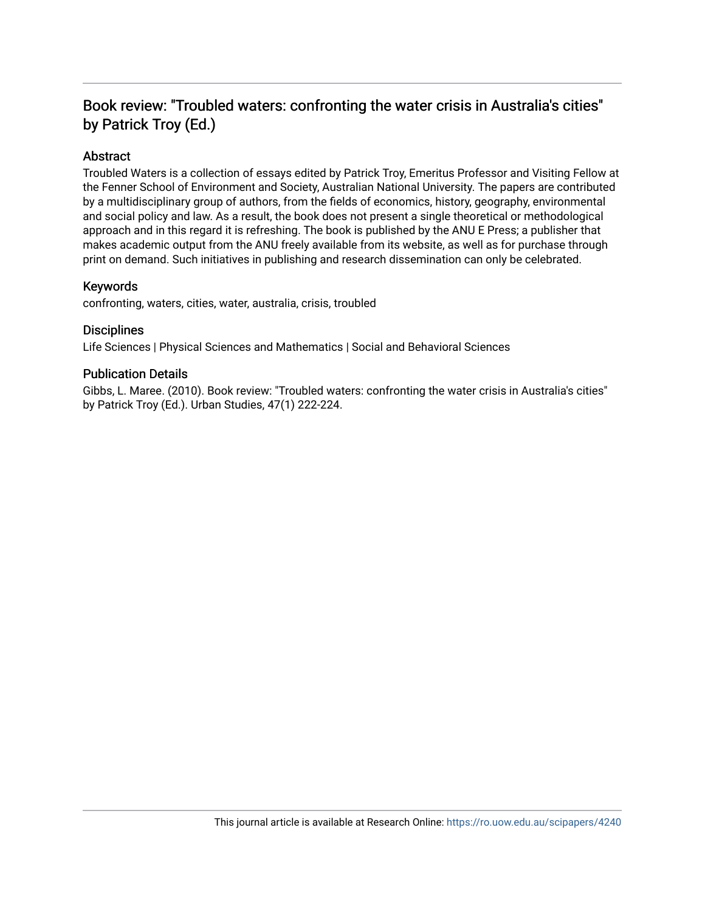# Book review: "Troubled waters: confronting the water crisis in Australia's cities" by Patrick Troy (Ed.)

## Abstract

Troubled Waters is a collection of essays edited by Patrick Troy, Emeritus Professor and Visiting Fellow at the Fenner School of Environment and Society, Australian National University. The papers are contributed by a multidisciplinary group of authors, from the fields of economics, history, geography, environmental and social policy and law. As a result, the book does not present a single theoretical or methodological approach and in this regard it is refreshing. The book is published by the ANU E Press; a publisher that makes academic output from the ANU freely available from its website, as well as for purchase through print on demand. Such initiatives in publishing and research dissemination can only be celebrated.

### Keywords

confronting, waters, cities, water, australia, crisis, troubled

#### **Disciplines**

Life Sciences | Physical Sciences and Mathematics | Social and Behavioral Sciences

#### Publication Details

Gibbs, L. Maree. (2010). Book review: "Troubled waters: confronting the water crisis in Australia's cities" by Patrick Troy (Ed.). Urban Studies, 47(1) 222-224.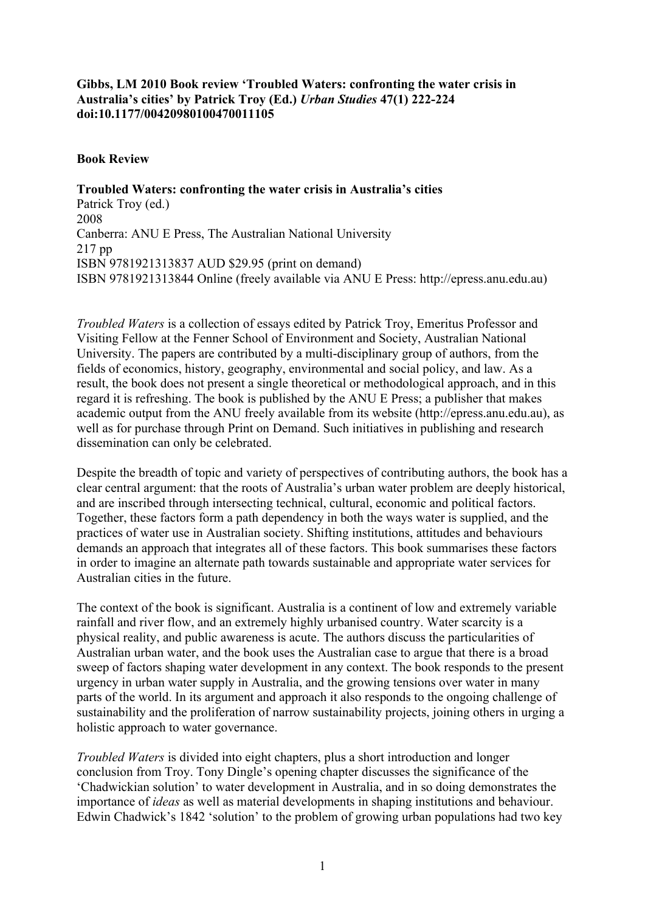## **Gibbs, LM 2010 Book review 'Troubled Waters: confronting the water crisis in Australia's cities' by Patrick Troy (Ed.)** *Urban Studies* **47(1) 222-224 doi:10.1177/00420980100470011105**

### **Book Review**

**Troubled Waters: confronting the water crisis in Australia's cities** Patrick Troy (ed.) 2008 Canberra: ANU E Press, The Australian National University 217 pp ISBN 9781921313837 AUD \$29.95 (print on demand) ISBN 9781921313844 Online (freely available via ANU E Press: http://epress.anu.edu.au)

*Troubled Waters* is a collection of essays edited by Patrick Troy, Emeritus Professor and Visiting Fellow at the Fenner School of Environment and Society, Australian National University. The papers are contributed by a multi-disciplinary group of authors, from the fields of economics, history, geography, environmental and social policy, and law. As a result, the book does not present a single theoretical or methodological approach, and in this regard it is refreshing. The book is published by the ANU E Press; a publisher that makes academic output from the ANU freely available from its website (http://epress.anu.edu.au), as well as for purchase through Print on Demand. Such initiatives in publishing and research dissemination can only be celebrated.

Despite the breadth of topic and variety of perspectives of contributing authors, the book has a clear central argument: that the roots of Australia's urban water problem are deeply historical, and are inscribed through intersecting technical, cultural, economic and political factors. Together, these factors form a path dependency in both the ways water is supplied, and the practices of water use in Australian society. Shifting institutions, attitudes and behaviours demands an approach that integrates all of these factors. This book summarises these factors in order to imagine an alternate path towards sustainable and appropriate water services for Australian cities in the future.

The context of the book is significant. Australia is a continent of low and extremely variable rainfall and river flow, and an extremely highly urbanised country. Water scarcity is a physical reality, and public awareness is acute. The authors discuss the particularities of Australian urban water, and the book uses the Australian case to argue that there is a broad sweep of factors shaping water development in any context. The book responds to the present urgency in urban water supply in Australia, and the growing tensions over water in many parts of the world. In its argument and approach it also responds to the ongoing challenge of sustainability and the proliferation of narrow sustainability projects, joining others in urging a holistic approach to water governance.

*Troubled Waters* is divided into eight chapters, plus a short introduction and longer conclusion from Troy. Tony Dingle's opening chapter discusses the significance of the 'Chadwickian solution' to water development in Australia, and in so doing demonstrates the importance of *ideas* as well as material developments in shaping institutions and behaviour. Edwin Chadwick's 1842 'solution' to the problem of growing urban populations had two key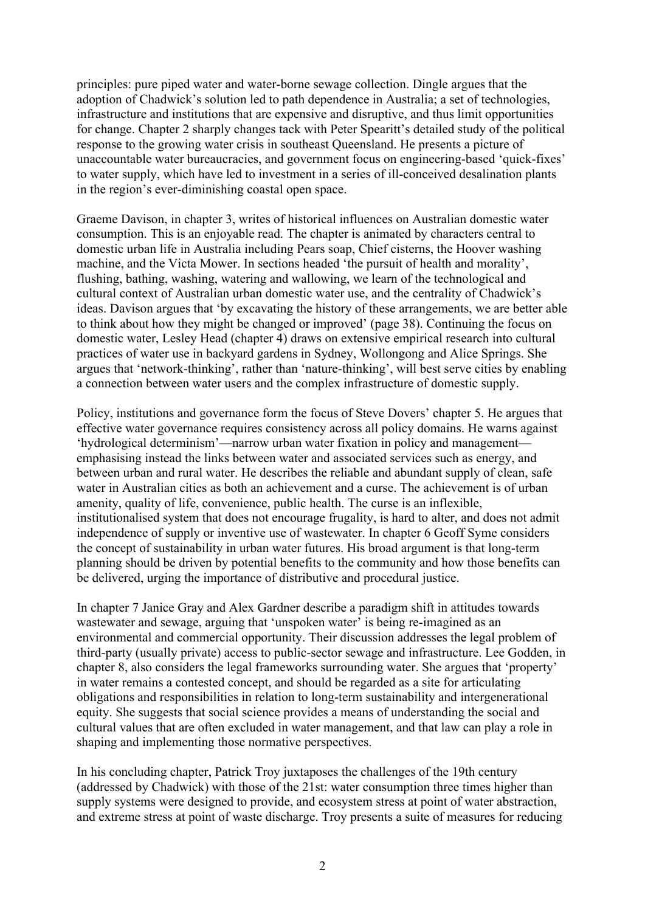principles: pure piped water and water-borne sewage collection. Dingle argues that the adoption of Chadwick's solution led to path dependence in Australia; a set of technologies, infrastructure and institutions that are expensive and disruptive, and thus limit opportunities for change. Chapter 2 sharply changes tack with Peter Spearitt's detailed study of the political response to the growing water crisis in southeast Queensland. He presents a picture of unaccountable water bureaucracies, and government focus on engineering-based 'quick-fixes' to water supply, which have led to investment in a series of ill-conceived desalination plants in the region's ever-diminishing coastal open space.

Graeme Davison, in chapter 3, writes of historical influences on Australian domestic water consumption. This is an enjoyable read. The chapter is animated by characters central to domestic urban life in Australia including Pears soap, Chief cisterns, the Hoover washing machine, and the Victa Mower. In sections headed 'the pursuit of health and morality', flushing, bathing, washing, watering and wallowing, we learn of the technological and cultural context of Australian urban domestic water use, and the centrality of Chadwick's ideas. Davison argues that 'by excavating the history of these arrangements, we are better able to think about how they might be changed or improved' (page 38). Continuing the focus on domestic water, Lesley Head (chapter 4) draws on extensive empirical research into cultural practices of water use in backyard gardens in Sydney, Wollongong and Alice Springs. She argues that 'network-thinking', rather than 'nature-thinking', will best serve cities by enabling a connection between water users and the complex infrastructure of domestic supply.

Policy, institutions and governance form the focus of Steve Dovers' chapter 5. He argues that effective water governance requires consistency across all policy domains. He warns against 'hydrological determinism'—narrow urban water fixation in policy and management emphasising instead the links between water and associated services such as energy, and between urban and rural water. He describes the reliable and abundant supply of clean, safe water in Australian cities as both an achievement and a curse. The achievement is of urban amenity, quality of life, convenience, public health. The curse is an inflexible, institutionalised system that does not encourage frugality, is hard to alter, and does not admit independence of supply or inventive use of wastewater. In chapter 6 Geoff Syme considers the concept of sustainability in urban water futures. His broad argument is that long-term planning should be driven by potential benefits to the community and how those benefits can be delivered, urging the importance of distributive and procedural justice.

In chapter 7 Janice Gray and Alex Gardner describe a paradigm shift in attitudes towards wastewater and sewage, arguing that 'unspoken water' is being re-imagined as an environmental and commercial opportunity. Their discussion addresses the legal problem of third-party (usually private) access to public-sector sewage and infrastructure. Lee Godden, in chapter 8, also considers the legal frameworks surrounding water. She argues that 'property' in water remains a contested concept, and should be regarded as a site for articulating obligations and responsibilities in relation to long-term sustainability and intergenerational equity. She suggests that social science provides a means of understanding the social and cultural values that are often excluded in water management, and that law can play a role in shaping and implementing those normative perspectives.

In his concluding chapter, Patrick Troy juxtaposes the challenges of the 19th century (addressed by Chadwick) with those of the 21st: water consumption three times higher than supply systems were designed to provide, and ecosystem stress at point of water abstraction, and extreme stress at point of waste discharge. Troy presents a suite of measures for reducing